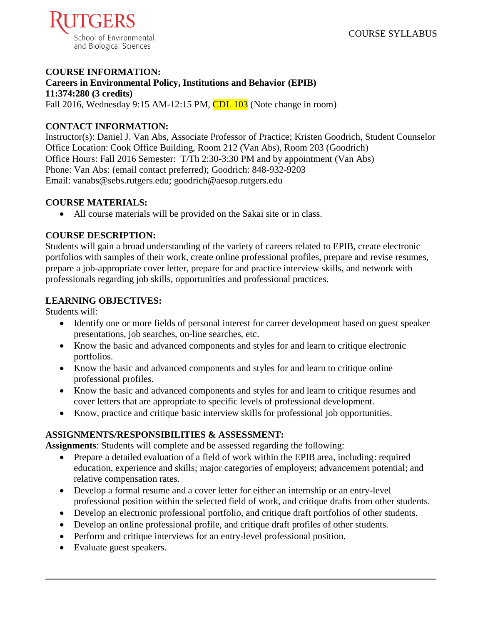

#### **COURSE INFORMATION: Careers in Environmental Policy, Institutions and Behavior (EPIB) 11:374:280 (3 credits)** Fall 2016, Wednesday 9:15 AM-12:15 PM, CDL  $103$  (Note change in room)

# **CONTACT INFORMATION:**

Instructor(s): Daniel J. Van Abs, Associate Professor of Practice; Kristen Goodrich, Student Counselor Office Location: Cook Office Building, Room 212 (Van Abs), Room 203 (Goodrich) Office Hours: Fall 2016 Semester: T/Th 2:30-3:30 PM and by appointment (Van Abs) Phone: Van Abs: (email contact preferred); Goodrich: 848-932-9203 Email: vanabs@sebs.rutgers.edu; goodrich@aesop.rutgers.edu

## **COURSE MATERIALS:**

All course materials will be provided on the Sakai site or in class.

## **COURSE DESCRIPTION:**

Students will gain a broad understanding of the variety of careers related to EPIB, create electronic portfolios with samples of their work, create online professional profiles, prepare and revise resumes, prepare a job-appropriate cover letter, prepare for and practice interview skills, and network with professionals regarding job skills, opportunities and professional practices.

## **LEARNING OBJECTIVES:**

Students will:

- Identify one or more fields of personal interest for career development based on guest speaker presentations, job searches, on-line searches, etc.
- Know the basic and advanced components and styles for and learn to critique electronic portfolios.
- Know the basic and advanced components and styles for and learn to critique online professional profiles.
- Know the basic and advanced components and styles for and learn to critique resumes and cover letters that are appropriate to specific levels of professional development.
- Know, practice and critique basic interview skills for professional job opportunities.

## **ASSIGNMENTS/RESPONSIBILITIES & ASSESSMENT:**

**Assignments**: Students will complete and be assessed regarding the following:

- Prepare a detailed evaluation of a field of work within the EPIB area, including: required education, experience and skills; major categories of employers; advancement potential; and relative compensation rates.
- Develop a formal resume and a cover letter for either an internship or an entry-level professional position within the selected field of work, and critique drafts from other students.
- Develop an electronic professional portfolio, and critique draft portfolios of other students.
- Develop an online professional profile, and critique draft profiles of other students.
- Perform and critique interviews for an entry-level professional position.
- Evaluate guest speakers.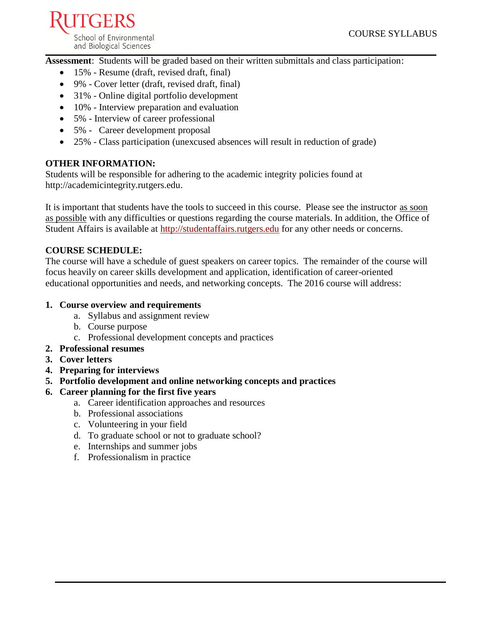

**Assessment**: Students will be graded based on their written submittals and class participation:

- 15% Resume (draft, revised draft, final)
- 9% Cover letter (draft, revised draft, final)
- 31% Online digital portfolio development
- 10% Interview preparation and evaluation
- 5% Interview of career professional
- 5% Career development proposal
- 25% Class participation (unexcused absences will result in reduction of grade)

## **OTHER INFORMATION:**

Students will be responsible for adhering to the academic integrity policies found at http://academicintegrity.rutgers.edu.

It is important that students have the tools to succeed in this course. Please see the instructor as soon as possible with any difficulties or questions regarding the course materials. In addition, the Office of Student Affairs is available at [http://studentaffairs.rutgers.edu](http://studentaffairs.rutgers.edu/) for any other needs or concerns.

## **COURSE SCHEDULE:**

The course will have a schedule of guest speakers on career topics. The remainder of the course will focus heavily on career skills development and application, identification of career-oriented educational opportunities and needs, and networking concepts. The 2016 course will address:

## **1. Course overview and requirements**

- a. Syllabus and assignment review
- b. Course purpose
- c. Professional development concepts and practices
- **2. Professional resumes**
- **3. Cover letters**
- **4. Preparing for interviews**
- **5. Portfolio development and online networking concepts and practices**
- **6. Career planning for the first five years**
	- a. Career identification approaches and resources
	- b. Professional associations
	- c. Volunteering in your field
	- d. To graduate school or not to graduate school?
	- e. Internships and summer jobs
	- f. Professionalism in practice